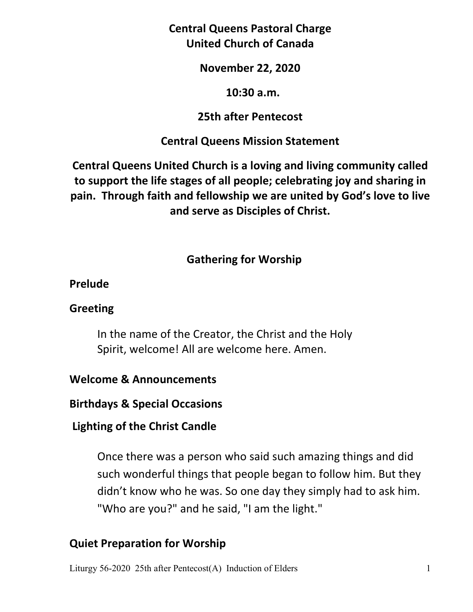**Central Queens Pastoral Charge United Church of Canada** 

#### **November 22, 2020**

#### **10:30 a.m.**

### **25th after Pentecost**

## **Central Queens Mission Statement**

**Central Queens United Church is a loving and living community called to support the life stages of all people; celebrating joy and sharing in pain. Through faith and fellowship we are united by God's love to live and serve as Disciples of Christ.**

## **Gathering for Worship**

## **Prelude**

## **Greeting**

 In the name of the Creator, the Christ and the Holy Spirit, welcome! All are welcome here. Amen.

## **Welcome & Announcements**

**Birthdays & Special Occasions** 

## **Lighting of the Christ Candle**

Once there was a person who said such amazing things and did such wonderful things that people began to follow him. But they didn't know who he was. So one day they simply had to ask him. "Who are you?" and he said, "I am the light."

## **Quiet Preparation for Worship**

Liturgy 56-2020 25th after Pentecost(A) Induction of Elders 1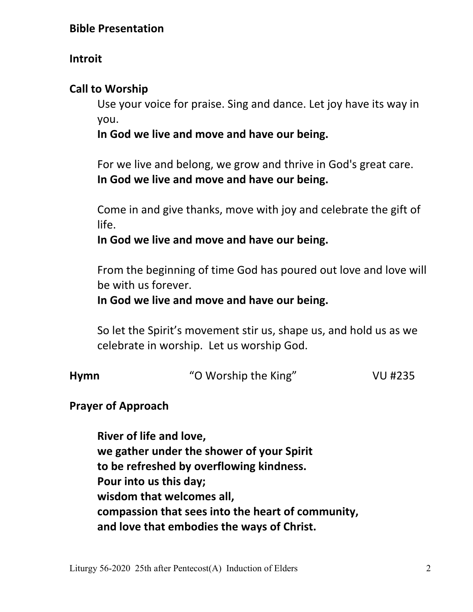#### **Bible Presentation**

#### **Introit**

#### **Call to Worship**

 Use your voice for praise. Sing and dance. Let joy have its way in you.

#### **In God we live and move and have our being.**

 For we live and belong, we grow and thrive in God's great care.  **In God we live and move and have our being.** 

 Come in and give thanks, move with joy and celebrate the gift of life.

 **In God we live and move and have our being.** 

 From the beginning of time God has poured out love and love will be with us forever.

#### **In God we live and move and have our being.**

 So let the Spirit's movement stir us, shape us, and hold us as we celebrate in worship. Let us worship God.

| Hymn | "O Worship the King" | VU #235 |
|------|----------------------|---------|
|      |                      |         |

#### **Prayer of Approach**

 **River of life and love, we gather under the shower of your Spirit to be refreshed by overflowing kindness. Pour into us this day; wisdom that welcomes all, compassion that sees into the heart of community, and love that embodies the ways of Christ.**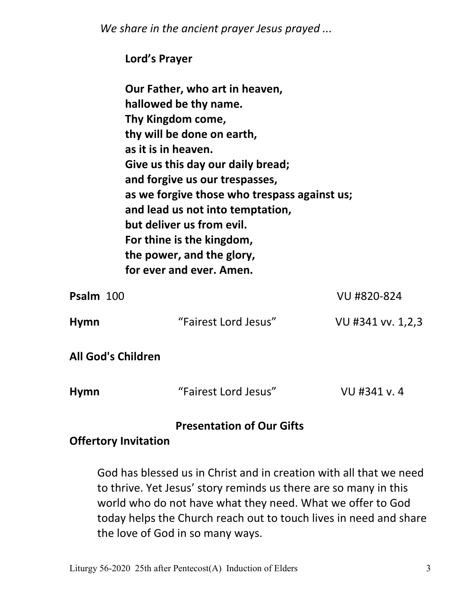*We share in the ancient prayer Jesus prayed ...*

|                    | Lord's Prayer                                                                                                                                                                                                                                                                                                                                                                                                   |                   |
|--------------------|-----------------------------------------------------------------------------------------------------------------------------------------------------------------------------------------------------------------------------------------------------------------------------------------------------------------------------------------------------------------------------------------------------------------|-------------------|
|                    | Our Father, who art in heaven,<br>hallowed be thy name.<br>Thy Kingdom come,<br>thy will be done on earth,<br>as it is in heaven.<br>Give us this day our daily bread;<br>and forgive us our trespasses,<br>as we forgive those who trespass against us;<br>and lead us not into temptation,<br>but deliver us from evil.<br>For thine is the kingdom,<br>the power, and the glory,<br>for ever and ever. Amen. |                   |
| Psalm 100          |                                                                                                                                                                                                                                                                                                                                                                                                                 | VU #820-824       |
| <b>Hymn</b>        | "Fairest Lord Jesus"                                                                                                                                                                                                                                                                                                                                                                                            | VU #341 vv. 1,2,3 |
| All God's Children |                                                                                                                                                                                                                                                                                                                                                                                                                 |                   |
| <b>Hymn</b>        | "Fairest Lord Jesus"                                                                                                                                                                                                                                                                                                                                                                                            | VU #341 v.4       |
|                    | Drocontation of Our Cifts                                                                                                                                                                                                                                                                                                                                                                                       |                   |

## **Presentation of Our Gifts**

## **Offertory Invitation**

God has blessed us in Christ and in creation with all that we need to thrive. Yet Jesus' story reminds us there are so many in this world who do not have what they need. What we offer to God today helps the Church reach out to touch lives in need and share the love of God in so many ways.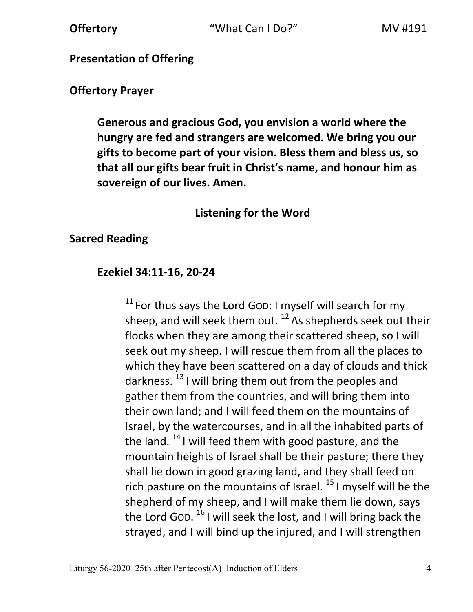### **Presentation of Offering**

#### **Offertory Prayer**

 **Generous and gracious God, you envision a world where the hungry are fed and strangers are welcomed. We bring you our gifts to become part of your vision. Bless them and bless us, so that all our gifts bear fruit in Christ's name, and honour him as sovereign of our lives. Amen.** 

### **Listening for the Word**

### **Sacred Reading**

### **Ezekiel 34:11-16, 20-24**

 $11$  For thus says the Lord GOD: I myself will search for my sheep, and will seek them out.  $^{12}$  As shepherds seek out their flocks when they are among their scattered sheep, so I will seek out my sheep. I will rescue them from all the places to which they have been scattered on a day of clouds and thick darkness.  $^{13}$  I will bring them out from the peoples and gather them from the countries, and will bring them into their own land; and I will feed them on the mountains of Israel, by the watercourses, and in all the inhabited parts of the land.  $14$  I will feed them with good pasture, and the mountain heights of Israel shall be their pasture; there they shall lie down in good grazing land, and they shall feed on rich pasture on the mountains of Israel.  $^{15}$  I myself will be the shepherd of my sheep, and I will make them lie down, says the Lord Gop. <sup>16</sup> I will seek the lost, and I will bring back the strayed, and I will bind up the injured, and I will strengthen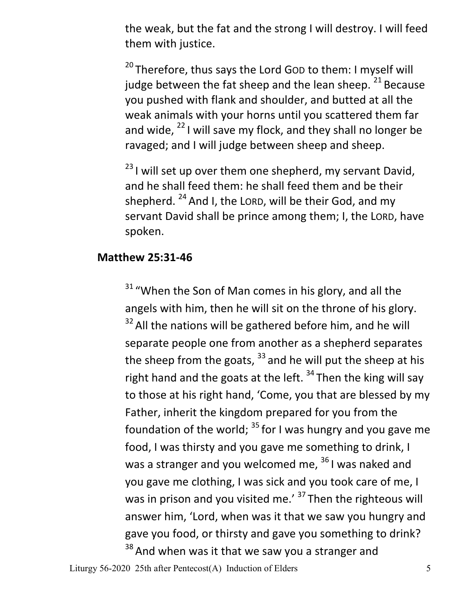the weak, but the fat and the strong I will destroy. I will feed them with justice.

<sup>20</sup> Therefore, thus says the Lord GOD to them: I myself will judge between the fat sheep and the lean sheep.  $21$  Because you pushed with flank and shoulder, and butted at all the weak animals with your horns until you scattered them far and wide,  $^{22}$  I will save my flock, and they shall no longer be ravaged; and I will judge between sheep and sheep.

 $23$  I will set up over them one shepherd, my servant David, and he shall feed them: he shall feed them and be their shepherd.  $24$  And I, the LORD, will be their God, and my servant David shall be prince among them; I, the LORD, have spoken.

#### **Matthew 25:31-46**

<sup>31</sup> "When the Son of Man comes in his glory, and all the angels with him, then he will sit on the throne of his glory.  $32$  All the nations will be gathered before him, and he will separate people one from another as a shepherd separates the sheep from the goats,  $33$  and he will put the sheep at his right hand and the goats at the left.  $34$  Then the king will say to those at his right hand, 'Come, you that are blessed by my Father, inherit the kingdom prepared for you from the foundation of the world;  $35$  for I was hungry and you gave me food, I was thirsty and you gave me something to drink, I was a stranger and you welcomed me,  $36$  I was naked and you gave me clothing, I was sick and you took care of me, I was in prison and you visited me.'  $37$  Then the righteous will answer him, 'Lord, when was it that we saw you hungry and gave you food, or thirsty and gave you something to drink?  $38$  And when was it that we saw you a stranger and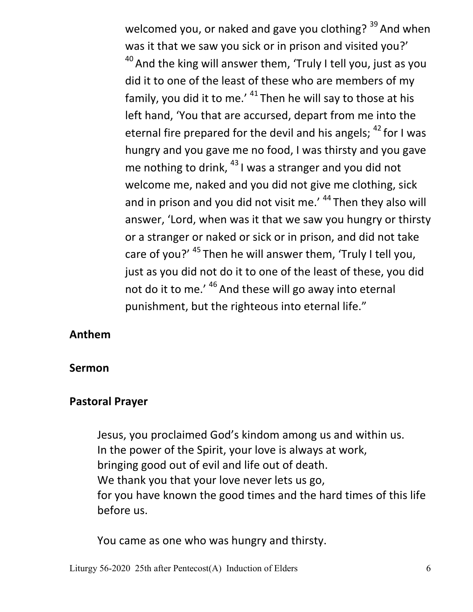welcomed you, or naked and gave you clothing?  $39$  And when was it that we saw you sick or in prison and visited you?'  $40$  And the king will answer them, 'Truly I tell you, just as you did it to one of the least of these who are members of my family, you did it to me.'  $41$  Then he will say to those at his left hand, 'You that are accursed, depart from me into the eternal fire prepared for the devil and his angels;  $42$  for I was hungry and you gave me no food, I was thirsty and you gave me nothing to drink,  $^{43}$  I was a stranger and you did not welcome me, naked and you did not give me clothing, sick and in prison and you did not visit me.' <sup>44</sup> Then they also will answer, 'Lord, when was it that we saw you hungry or thirsty or a stranger or naked or sick or in prison, and did not take care of you?'  $45$  Then he will answer them, 'Truly I tell you, just as you did not do it to one of the least of these, you did not do it to me.'  $46$  And these will go away into eternal punishment, but the righteous into eternal life."

#### **Anthem**

#### **Sermon**

#### **Pastoral Prayer**

Jesus, you proclaimed God's kindom among us and within us. In the power of the Spirit, your love is always at work, bringing good out of evil and life out of death. We thank you that your love never lets us go, for you have known the good times and the hard times of this life before us.

You came as one who was hungry and thirsty.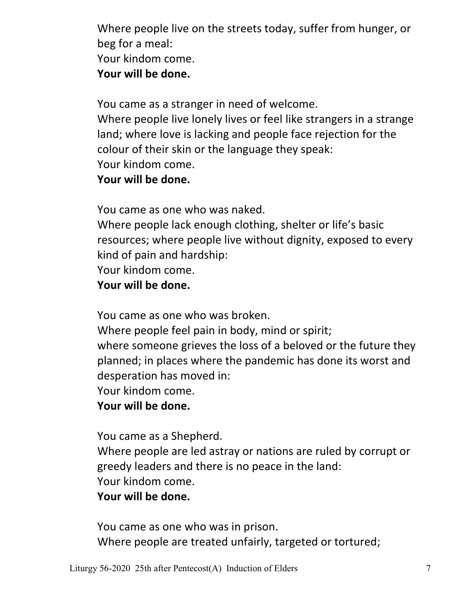Where people live on the streets today, suffer from hunger, or beg for a meal: Your kindom come.  **Your will be done.** 

You came as a stranger in need of welcome.

Where people live lonely lives or feel like strangers in a strange land; where love is lacking and people face rejection for the colour of their skin or the language they speak: Your kindom come.

 **Your will be done.** 

You came as one who was naked.

Where people lack enough clothing, shelter or life's basic resources; where people live without dignity, exposed to every kind of pain and hardship:

Your kindom come.

 **Your will be done.** 

You came as one who was broken.

 Where people feel pain in body, mind or spirit; where someone grieves the loss of a beloved or the future they planned; in places where the pandemic has done its worst and desperation has moved in:

Your kindom come.

 **Your will be done.** 

You came as a Shepherd.

Where people are led astray or nations are ruled by corrupt or greedy leaders and there is no peace in the land: Your kindom come.

 **Your will be done.** 

 You came as one who was in prison. Where people are treated unfairly, targeted or tortured;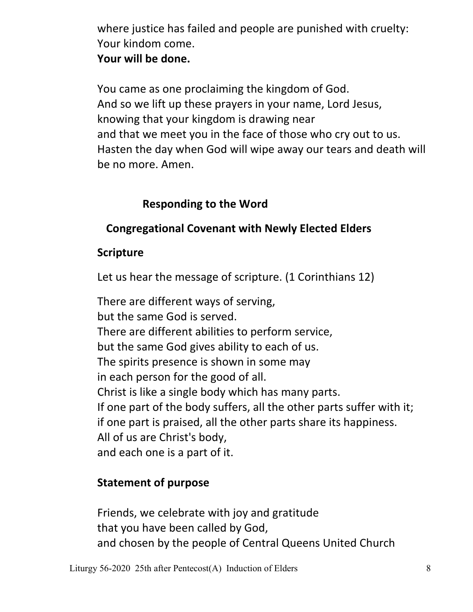where justice has failed and people are punished with cruelty: Your kindom come.  **Your will be done.** 

 You came as one proclaiming the kingdom of God. And so we lift up these prayers in your name, Lord Jesus, knowing that your kingdom is drawing near and that we meet you in the face of those who cry out to us. Hasten the day when God will wipe away our tears and death will be no more. Amen.

## **Responding to the Word**

# **Congregational Covenant with Newly Elected Elders**

## **Scripture**

Let us hear the message of scripture. (1 Corinthians 12)

 There are different ways of serving, but the same God is served. There are different abilities to perform service, but the same God gives ability to each of us. The spirits presence is shown in some may in each person for the good of all. Christ is like a single body which has many parts. If one part of the body suffers, all the other parts suffer with it; if one part is praised, all the other parts share its happiness. All of us are Christ's body, and each one is a part of it.

## **Statement of purpose**

Friends, we celebrate with joy and gratitude that you have been called by God, and chosen by the people of Central Queens United Church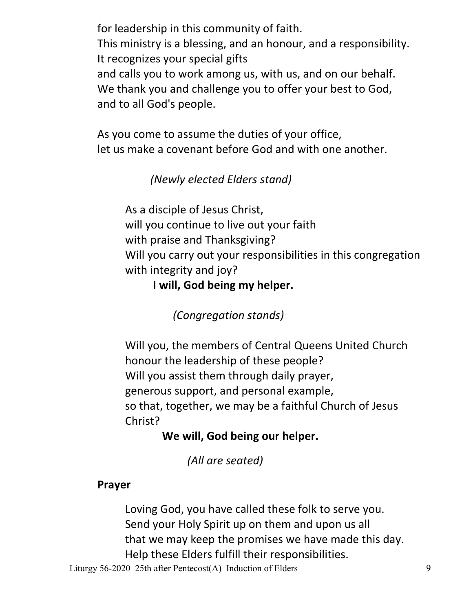for leadership in this community of faith. This ministry is a blessing, and an honour, and a responsibility. It recognizes your special gifts and calls you to work among us, with us, and on our behalf. We thank you and challenge you to offer your best to God, and to all God's people.

 As you come to assume the duties of your office, let us make a covenant before God and with one another.

## *(Newly elected Elders stand)*

 As a disciple of Jesus Christ, will you continue to live out your faith with praise and Thanksgiving? Will you carry out your responsibilities in this congregation with integrity and joy?

**I will, God being my helper.** 

 *(Congregation stands)* 

 Will you, the members of Central Queens United Church honour the leadership of these people? Will you assist them through daily prayer, generous support, and personal example, so that, together, we may be a faithful Church of Jesus Christ?

# **We will, God being our helper.**

 *(All are seated)* 

# **Prayer**

Loving God, you have called these folk to serve you. Send your Holy Spirit up on them and upon us all that we may keep the promises we have made this day. Help these Elders fulfill their responsibilities.

Liturgy 56-2020 25th after Pentecost(A) Induction of Elders 9